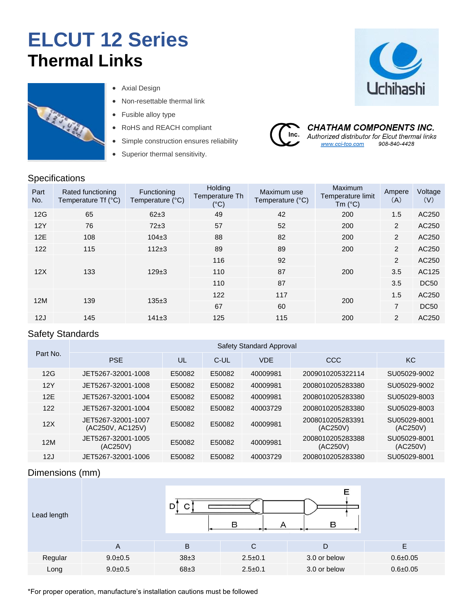# **ELCUT 12 Series Thermal Links**



**Specifications** 

- Axial Design
- Non-resettable thermal link
- Fusible alloy type
- RoHS and REACH compliant
- Simple construction ensures reliability
- Superior thermal sensitivity.



**CHATHAM COMPONENTS INC.** Inc. Authorized distributor for Elcut thermal links 908-840-4428 www.cci-tco.com

| <u>opoomoaaono</u> |                                          |                                 |                                                   |                                 |                                                  |                |                |  |  |
|--------------------|------------------------------------------|---------------------------------|---------------------------------------------------|---------------------------------|--------------------------------------------------|----------------|----------------|--|--|
| Part<br>No.        | Rated functioning<br>Temperature Tf (°C) | Functioning<br>Temperature (°C) | <b>Holding</b><br>Temperature Th<br>$(^{\circ}C)$ | Maximum use<br>Temperature (°C) | Maximum<br>Temperature limit<br>Tm $(^{\circ}C)$ | Ampere<br>(A)  | Voltage<br>(V) |  |  |
| 12G                | 65                                       | $62\pm3$                        | 49                                                | 42                              | 200                                              | 1.5            | AC250          |  |  |
| 12Y                | 76                                       | $72\pm3$                        | 57                                                | 52                              | 200                                              | 2              | AC250          |  |  |
| 12E                | 108                                      | $104 + 3$                       | 88                                                | 82                              | 200                                              | $\overline{2}$ | AC250          |  |  |
| 122                | 115                                      | $112 + 3$                       | 89                                                | 89                              | 200                                              | $\overline{2}$ | AC250          |  |  |
|                    |                                          |                                 | 116                                               | 92                              |                                                  | 2              | AC250          |  |  |
| 12X                | 133                                      | $129+3$                         | 110                                               | 87                              | 200                                              | 3.5            | AC125          |  |  |
|                    |                                          |                                 | 110                                               | 87                              |                                                  | 3.5            | <b>DC50</b>    |  |  |
| 12M                | 139                                      | $135+3$                         | 122                                               | 117                             | 200                                              | 1.5            | AC250          |  |  |
|                    |                                          |                                 | 67                                                | 60                              |                                                  | $\overline{7}$ | <b>DC50</b>    |  |  |
| 12J                | 145                                      | 141±3                           | 125                                               | 115                             | 200                                              | 2              | AC250          |  |  |

### Safety Standards

|          |                                        |        |        | Safety Standard Approval |                              |                          |
|----------|----------------------------------------|--------|--------|--------------------------|------------------------------|--------------------------|
| Part No. | <b>PSE</b>                             | UL     | C-UL   | <b>VDF</b>               | CCC                          | KC                       |
| 12G      | JET5267-32001-1008                     | E50082 | E50082 | 40009981                 | 2009010205322114             | SU05029-9002             |
| 12Y      | JET5267-32001-1008                     | E50082 | E50082 | 40009981                 | 2008010205283380             | SU05029-9002             |
| 12F      | JET5267-32001-1004                     | E50082 | E50082 | 40009981                 | 2008010205283380             | SU05029-8003             |
| 122      | JET5267-32001-1004                     | E50082 | E50082 | 40003729                 | 2008010205283380             | SU05029-8003             |
| 12X      | JET5267-32001-1007<br>(AC250V, AC125V) | E50082 | E50082 | 40009981                 | 2008010205283391<br>(AC250V) | SU05029-8001<br>(AC250V) |
| 12M      | JET5267-32001-1005<br>(AC250V)         | E50082 | E50082 | 40009981                 | 2008010205283388<br>(AC250V) | SU05029-8001<br>(AC250V) |
| 12J      | JET5267-32001-1006                     | E50082 | E50082 | 40003729                 | 2008010205283380             | SU05029-8001             |

## Dimensions (mm)

| Lead length |             | D.<br>ີ  | Е<br>B<br>в   |              |              |  |  |
|-------------|-------------|----------|---------------|--------------|--------------|--|--|
|             | A           | B        | C             | D            | E            |  |  |
| Regular     | $9.0 + 0.5$ | $38\pm3$ | $2.5 \pm 0.1$ | 3.0 or below | $0.6 + 0.05$ |  |  |
| Long        | $9.0 + 0.5$ | $68\pm3$ | $2.5 \pm 0.1$ | 3.0 or below | $0.6 + 0.05$ |  |  |

\*For proper operation, manufacture's installation cautions must be followed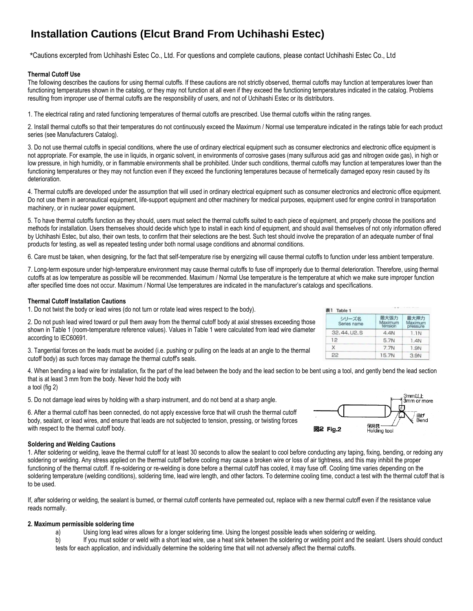# **Installation Cautions (Elcut Brand From Uchihashi Estec)**

\*Cautions excerpted from Uchihashi Estec Co., Ltd. For questions and complete cautions, please contact Uchihashi Estec Co., Ltd

#### **Thermal Cutoff Use**

The following describes the cautions for using thermal cutoffs. If these cautions are not strictly observed, thermal cutoffs may function at temperatures lower than functioning temperatures shown in the catalog, or they may not function at all even if they exceed the functioning temperatures indicated in the catalog. Problems resulting from improper use of thermal cutoffs are the responsibility of users, and not of Uchihashi Estec or its distributors.

1. The electrical rating and rated functioning temperatures of thermal cutoffs are prescribed. Use thermal cutoffs within the rating ranges.

2. Install thermal cutoffs so that their temperatures do not continuously exceed the Maximum / Normal use temperature indicated in the ratings table for each product series (see Manufacturers Catalog).

3. Do not use thermal cutoffs in special conditions, where the use of ordinary electrical equipment such as consumer electronics and electronic office equipment is not appropriate. For example, the use in liquids, in organic solvent, in environments of corrosive gases (many sulfurous acid gas and nitrogen oxide gas), in high or low pressure, in high humidity, or in flammable environments shall be prohibited. Under such conditions, thermal cutoffs may function at temperatures lower than the functioning temperatures or they may not function even if they exceed the functioning temperatures because of hermetically damaged epoxy resin caused by its deterioration.

4. Thermal cutoffs are developed under the assumption that will used in ordinary electrical equipment such as consumer electronics and electronic office equipment. Do not use them in aeronautical equipment, life-support equipment and other machinery for medical purposes, equipment used for engine control in transportation machinery, or in nuclear power equipment.

5. To have thermal cutoffs function as they should, users must select the thermal cutoffs suited to each piece of equipment, and properly choose the positions and methods for installation. Users themselves should decide which type to install in each kind of equipment, and should avail themselves of not only information offered by Uchihashi Estec, but also, their own tests, to confirm that their selections are the best. Such test should involve the preparation of an adequate number of final products for testing, as well as repeated testing under both normal usage conditions and abnormal conditions.

6. Care must be taken, when designing, for the fact that self-temperature rise by energizing will cause thermal cutoffs to function under less ambient temperature.

7. Long-term exposure under high-temperature environment may cause thermal cutoffs to fuse off improperly due to thermal deterioration. Therefore, using thermal cutoffs at as low temperature as possible will be recommended. Maximum / Normal Use temperature is the temperature at which we make sure improper function after specified time does not occur. Maximum / Normal Use temperatures are indicated in the manufacturer's catalogs and specifications.

#### **Thermal Cutoff Installation Cautions**

1. Do not twist the body or lead wires (do not turn or rotate lead wires respect to the body).

| シリーズ名<br>Series name | 最大張力<br>Maximum<br>tension | 最大押力<br>Maximum<br>pressure |
|----------------------|----------------------------|-----------------------------|
| 32, 44, U2, S        | 4.4N                       | 1.1N                        |
| 12                   | 5.7N                       | 1.4N                        |
|                      | 7.7N                       | 1.9N                        |
| 22                   | 15.7N                      | 3.9N                        |

shown in Table 1 (room-temperature reference values). Values in Table 1 were calculated from lead wire diameter according to IEC60691.

2. Do not push lead wired toward or pull them away from the thermal cutoff body at axial stresses exceeding those

3. Tangential forces on the leads must be avoided (i.e. pushing or pulling on the leads at an angle to the thermal cutoff body) as such forces may damage the thermal cutoff's seals.

4. When bending a lead wire for installation, fix the part of the lead between the body and the lead section to be bent using a tool, and gently bend the lead section that is at least 3 mm from the body. Never hold the body with a tool (fig 2)

5. Do not damage lead wires by holding with a sharp instrument, and do not bend at a sharp angle.

6. After a thermal cutoff has been connected, do not apply excessive force that will crush the thermal cutoff body, sealant, or lead wires, and ensure that leads are not subjected to tension, pressing, or twisting forces with respect to the thermal cutoff body.

#### **Soldering and Welding Cautions**

1. After soldering or welding, leave the thermal cutoff for at least 30 seconds to allow the sealant to cool before conducting any taping, fixing, bending, or redoing any soldering or welding. Any stress applied on the thermal cutoff before cooling may cause a broken wire or loss of air tightness, and this may inhibit the proper functioning of the thermal cutoff. If re-soldering or re-welding is done before a thermal cutoff has cooled, it may fuse off. Cooling time varies depending on the soldering temperature (welding conditions), soldering time, lead wire length, and other factors. To determine cooling time, conduct a test with the thermal cutoff that is to be used.

If, after soldering or welding, the sealant is burned, or thermal cutoff contents have permeated out, replace with a new thermal cutoff even if the resistance value reads normally.

#### **2. Maximum permissible soldering time**

- a) Using long lead wires allows for a longer soldering time. Using the longest possible leads when soldering or welding.
- b) If you must solder or weld with a short lead wire, use a heat sink between the soldering or welding point and the sealant. Users should conduct tests for each application, and individually determine the soldering time that will not adversely affect the thermal cutoffs.